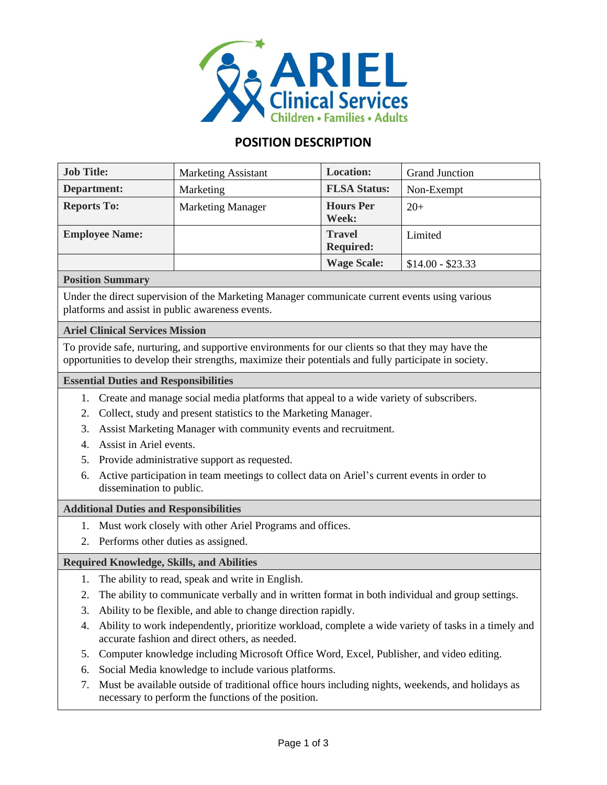

# **POSITION DESCRIPTION**

| <b>Job Title:</b>     | <b>Marketing Assistant</b> | <b>Location:</b>                  | <b>Grand Junction</b> |
|-----------------------|----------------------------|-----------------------------------|-----------------------|
| Department:           | Marketing                  | <b>FLSA Status:</b>               | Non-Exempt            |
| <b>Reports To:</b>    | <b>Marketing Manager</b>   | <b>Hours</b> Per<br>Week:         | $20+$                 |
| <b>Employee Name:</b> |                            | <b>Travel</b><br><b>Required:</b> | Limited               |
|                       |                            | <b>Wage Scale:</b>                | $$14.00 - $23.33$     |

## **Position Summary**

Under the direct supervision of the Marketing Manager communicate current events using various platforms and assist in public awareness events.

# **Ariel Clinical Services Mission**

To provide safe, nurturing, and supportive environments for our clients so that they may have the opportunities to develop their strengths, maximize their potentials and fully participate in society.

## **Essential Duties and Responsibilities**

- 1. Create and manage social media platforms that appeal to a wide variety of subscribers.
- 2. Collect, study and present statistics to the Marketing Manager.
- 3. Assist Marketing Manager with community events and recruitment.
- 4. Assist in Ariel events.
- 5. Provide administrative support as requested.
- 6. Active participation in team meetings to collect data on Ariel's current events in order to dissemination to public.

## **Additional Duties and Responsibilities**

- 1. Must work closely with other Ariel Programs and offices.
- 2. Performs other duties as assigned.

## **Required Knowledge, Skills, and Abilities**

- 1. The ability to read, speak and write in English.
- 2. The ability to communicate verbally and in written format in both individual and group settings.
- 3. Ability to be flexible, and able to change direction rapidly.
- 4. Ability to work independently, prioritize workload, complete a wide variety of tasks in a timely and accurate fashion and direct others, as needed.
- 5. Computer knowledge including Microsoft Office Word, Excel, Publisher, and video editing.
- 6. Social Media knowledge to include various platforms.
- 7. Must be available outside of traditional office hours including nights, weekends, and holidays as necessary to perform the functions of the position.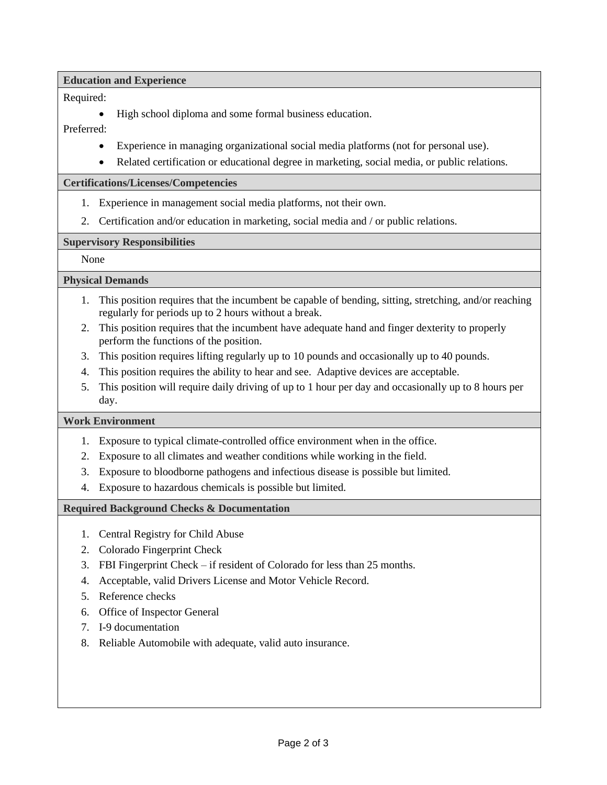**Education and Experience**

## Required:

• High school diploma and some formal business education.

## Preferred:

- Experience in managing organizational social media platforms (not for personal use).
- Related certification or educational degree in marketing, social media, or public relations.

## **Certifications/Licenses/Competencies**

- 1. Experience in management social media platforms, not their own.
- 2. Certification and/or education in marketing, social media and / or public relations.

## **Supervisory Responsibilities**

None

# **Physical Demands**

- 1. This position requires that the incumbent be capable of bending, sitting, stretching, and/or reaching regularly for periods up to 2 hours without a break.
- 2. This position requires that the incumbent have adequate hand and finger dexterity to properly perform the functions of the position.
- 3. This position requires lifting regularly up to 10 pounds and occasionally up to 40 pounds.
- 4. This position requires the ability to hear and see. Adaptive devices are acceptable.
- 5. This position will require daily driving of up to 1 hour per day and occasionally up to 8 hours per day.

## **Work Environment**

- 1. Exposure to typical climate-controlled office environment when in the office.
- 2. Exposure to all climates and weather conditions while working in the field.
- 3. Exposure to bloodborne pathogens and infectious disease is possible but limited.
- 4. Exposure to hazardous chemicals is possible but limited.

## **Required Background Checks & Documentation**

- 1. Central Registry for Child Abuse
- 2. Colorado Fingerprint Check
- 3. FBI Fingerprint Check if resident of Colorado for less than 25 months.
- 4. Acceptable, valid Drivers License and Motor Vehicle Record.
- 5. Reference checks
- 6. Office of Inspector General
- 7. I-9 documentation
- 8. Reliable Automobile with adequate, valid auto insurance.